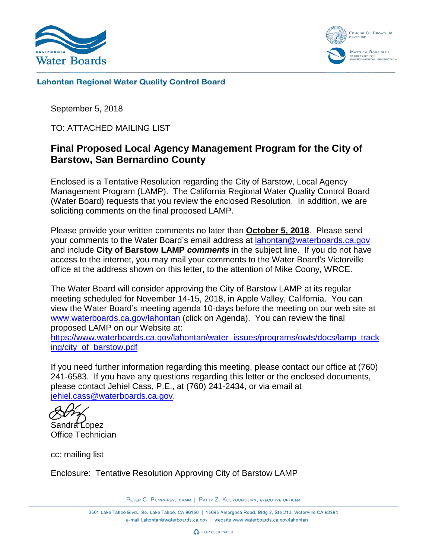



**Lahontan Regional Water Quality Control Board** 

September 5, 2018

TO: ATTACHED MAILING LIST

## **Final Proposed Local Agency Management Program for the City of Barstow, San Bernardino County**

Enclosed is a Tentative Resolution regarding the City of Barstow, Local Agency Management Program (LAMP). The California Regional Water Quality Control Board (Water Board) requests that you review the enclosed Resolution. In addition, we are soliciting comments on the final proposed LAMP.

Please provide your written comments no later than **October 5, 2018**. Please send your comments to the Water Board's email address at [lahontan@waterboards.ca.gov](mailto:lahontan@waterboards.ca.gov) and include **City of Barstow LAMP** *comments* in the subject line. If you do not have access to the internet, you may mail your comments to the Water Board's Victorville office at the address shown on this letter, to the attention of Mike Coony, WRCE.

The Water Board will consider approving the City of Barstow LAMP at its regular meeting scheduled for November 14-15, 2018, in Apple Valley, California. You can view the Water Board's meeting agenda 10-days before the meeting on our web site at [www.waterboards.ca.gov/lahontan](http://www.waterboards.ca.gov/lahontan) (click on Agenda). You can review the final proposed LAMP on our Website at:

[https://www.waterboards.ca.gov/lahontan/water\\_issues/programs/owts/docs/lamp\\_track](https://www.waterboards.ca.gov/lahontan/water_issues/programs/owts/docs/lamp_tracking/city_of_barstow.pdf) [ing/city\\_of\\_barstow.pdf](https://www.waterboards.ca.gov/lahontan/water_issues/programs/owts/docs/lamp_tracking/city_of_barstow.pdf)

If you need further information regarding this meeting, please contact our office at (760) 241-6583. If you have any questions regarding this letter or the enclosed documents, please contact Jehiel Cass, P.E., at (760) 241-2434, or via email at [jehiel.cass@waterboards.ca.gov.](mailto:jehiel.cass@waterboards.ca.gov)

Sandra Lopez

Office Technician

cc: mailing list

Enclosure: Tentative Resolution Approving City of Barstow LAMP

PETER C. PUMPHREY, CHAIR | PATTY Z. KOUYOUMDJIAN, EXECUTIVE OFFICER

2501 Lake Tahoe Blvd., So. Lake Tahoe, CA 96150 | 15095 Amargosa Road, Bldg 2, Ste 210, Victorville CA 92394 e-mail Lahontan@waterboards.ca.gov | website www.waterboards.ca.gov/lahontan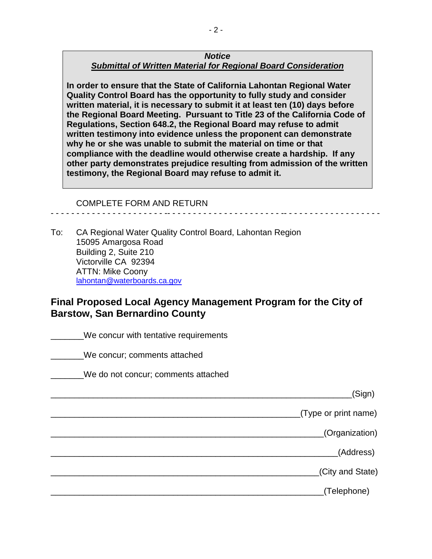#### *Notice Submittal of Written Material for Regional Board Consideration*

**In order to ensure that the State of California Lahontan Regional Water Quality Control Board has the opportunity to fully study and consider written material, it is necessary to submit it at least ten (10) days before the Regional Board Meeting. Pursuant to Title 23 of the California Code of Regulations, Section 648.2, the Regional Board may refuse to admit written testimony into evidence unless the proponent can demonstrate why he or she was unable to submit the material on time or that compliance with the deadline would otherwise create a hardship. If any other party demonstrates prejudice resulting from admission of the written testimony, the Regional Board may refuse to admit it.**

- - - - - - - - - - - - - - - - - - - - - - -- - - - - - - - - - - - - - - - - - - - - - -- - - - - - - - - - - - - - - - - - -

COMPLETE FORM AND RETURN

To: CA Regional Water Quality Control Board, Lahontan Region 15095 Amargosa Road Building 2, Suite 210 Victorville CA 92394 ATTN: Mike Coony [lahontan@waterboards.ca.gov](mailto:lahontan@waterboards.ca.gov)

# **Final Proposed Local Agency Management Program for the City of Barstow, San Bernardino County**

We concur with tentative requirements We concur; comments attached \_\_\_\_\_\_\_We do not concur; comments attached \_\_\_\_\_\_\_\_\_\_\_\_\_\_\_\_\_\_\_\_\_\_\_\_\_\_\_\_\_\_\_\_\_\_\_\_\_\_\_\_\_\_\_\_\_\_\_\_\_\_\_\_\_\_\_\_\_\_\_\_\_\_\_\_(Sign) \_\_\_\_\_\_\_\_\_\_\_\_\_\_\_\_\_\_\_\_\_\_\_\_\_\_\_\_\_\_\_\_\_\_\_\_\_\_\_\_\_\_\_\_\_\_\_\_\_\_\_\_\_(Type or print name) \_\_\_\_\_\_\_\_\_\_\_\_\_\_\_\_\_\_\_\_\_\_\_\_\_\_\_\_\_\_\_\_\_\_\_\_\_\_\_\_\_\_\_\_\_\_\_\_\_\_\_\_\_\_\_\_\_\_(Organization) \_\_\_\_\_\_\_\_\_\_\_\_\_\_\_\_\_\_\_\_\_\_\_\_\_\_\_\_\_\_\_\_\_\_\_\_\_\_\_\_\_\_\_\_\_\_\_\_\_\_\_\_\_\_\_\_\_\_\_\_\_(Address) \_\_\_\_\_\_\_\_\_\_\_\_\_\_\_\_\_\_\_\_\_\_\_\_\_\_\_\_\_\_\_\_\_\_\_\_\_\_\_\_\_\_\_\_\_\_\_\_\_\_\_\_\_\_\_\_\_(City and State) end and the control (Telephone)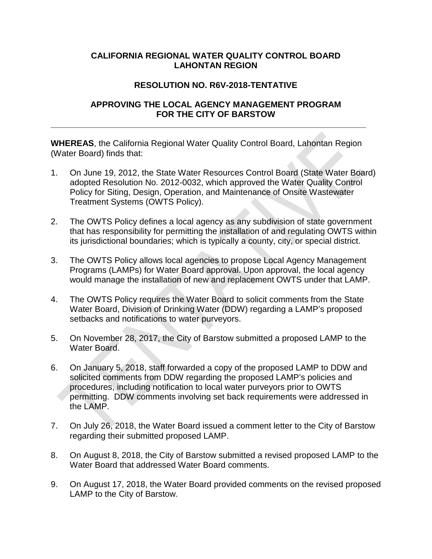### **CALIFORNIA REGIONAL WATER QUALITY CONTROL BOARD LAHONTAN REGION**

## **RESOLUTION NO. R6V-2018-TENTATIVE**

## **APPROVING THE LOCAL AGENCY MANAGEMENT PROGRAM FOR THE CITY OF BARSTOW**

**WHEREAS**, the California Regional Water Quality Control Board, Lahontan Region (Water Board) finds that:

**\_\_\_\_\_\_\_\_\_\_\_\_\_\_\_\_\_\_\_\_\_\_\_\_\_\_\_\_\_\_\_\_\_\_\_\_\_\_\_\_\_\_\_\_\_\_\_\_\_\_\_\_\_\_\_\_\_\_\_\_\_\_\_\_\_\_\_**

- 1. On June 19, 2012, the State Water Resources Control Board (State Water Board) adopted Resolution No. 2012-0032, which approved the Water Quality Control Policy for Siting, Design, Operation, and Maintenance of Onsite Wastewater Treatment Systems (OWTS Policy).
- 2. The OWTS Policy defines a local agency as any subdivision of state government that has responsibility for permitting the installation of and regulating OWTS within its jurisdictional boundaries; which is typically a county, city, or special district.
- 3. The OWTS Policy allows local agencies to propose Local Agency Management Programs (LAMPs) for Water Board approval. Upon approval, the local agency would manage the installation of new and replacement OWTS under that LAMP.
- 4. The OWTS Policy requires the Water Board to solicit comments from the State Water Board, Division of Drinking Water (DDW) regarding a LAMP's proposed setbacks and notifications to water purveyors.
- 5. On November 28, 2017, the City of Barstow submitted a proposed LAMP to the Water Board.
- 6. On January 5, 2018, staff forwarded a copy of the proposed LAMP to DDW and solicited comments from DDW regarding the proposed LAMP's policies and procedures, including notification to local water purveyors prior to OWTS permitting. DDW comments involving set back requirements were addressed in the LAMP.
- 7. On July 26, 2018, the Water Board issued a comment letter to the City of Barstow regarding their submitted proposed LAMP.
- 8. On August 8, 2018, the City of Barstow submitted a revised proposed LAMP to the Water Board that addressed Water Board comments.
- 9. On August 17, 2018, the Water Board provided comments on the revised proposed LAMP to the City of Barstow.